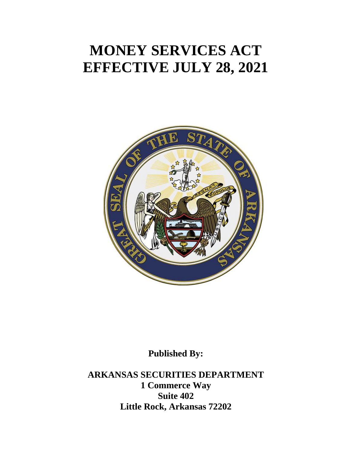# **MONEY SERVICES ACT EFFECTIVE JULY 28, 2021**



**Published By:**

**ARKANSAS SECURITIES DEPARTMENT 1 Commerce Way Suite 402 Little Rock, Arkansas 72202**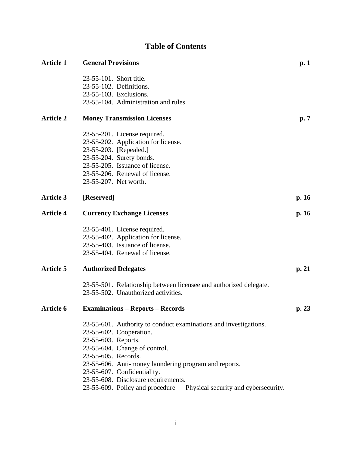# **Table of Contents**

| <b>Article 1</b> | <b>General Provisions</b>                                              | p.1            |
|------------------|------------------------------------------------------------------------|----------------|
|                  | 23-55-101. Short title.                                                |                |
|                  | 23-55-102. Definitions.                                                |                |
|                  | 23-55-103. Exclusions.                                                 |                |
|                  | 23-55-104. Administration and rules.                                   |                |
| <b>Article 2</b> | <b>Money Transmission Licenses</b>                                     | $\mathbf{p.7}$ |
|                  | 23-55-201. License required.                                           |                |
|                  | 23-55-202. Application for license.                                    |                |
|                  | 23-55-203. [Repealed.]                                                 |                |
|                  | 23-55-204. Surety bonds.                                               |                |
|                  | 23-55-205. Issuance of license.                                        |                |
|                  | 23-55-206. Renewal of license.                                         |                |
|                  | 23-55-207. Net worth.                                                  |                |
| <b>Article 3</b> | [Reserved]                                                             | p. 16          |
| <b>Article 4</b> | <b>Currency Exchange Licenses</b>                                      | p.16           |
|                  | 23-55-401. License required.                                           |                |
|                  | 23-55-402. Application for license.                                    |                |
|                  | 23-55-403. Issuance of license.                                        |                |
|                  | 23-55-404. Renewal of license.                                         |                |
| <b>Article 5</b> | <b>Authorized Delegates</b>                                            | p. 21          |
|                  | 23-55-501. Relationship between licensee and authorized delegate.      |                |
|                  | 23-55-502. Unauthorized activities.                                    |                |
| <b>Article 6</b> | <b>Examinations - Reports - Records</b>                                | p. 23          |
|                  | 23-55-601. Authority to conduct examinations and investigations.       |                |
|                  | 23-55-602. Cooperation.                                                |                |
|                  | 23-55-603. Reports.                                                    |                |
|                  | 23-55-604. Change of control.                                          |                |
|                  | 23-55-605. Records.                                                    |                |
|                  | 23-55-606. Anti-money laundering program and reports.                  |                |
|                  | 23-55-607. Confidentiality.                                            |                |
|                  | 23-55-608. Disclosure requirements.                                    |                |
|                  | 23-55-609. Policy and procedure - Physical security and cybersecurity. |                |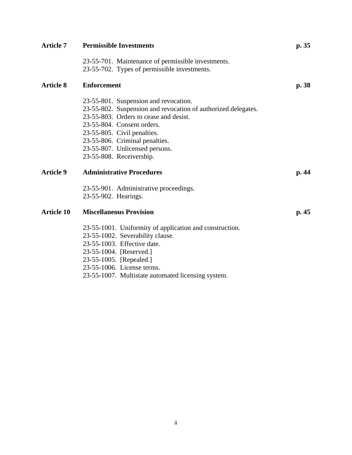| <b>Article 7</b>  | <b>Permissible Investments</b>                                | p.35 |
|-------------------|---------------------------------------------------------------|------|
|                   | 23-55-701. Maintenance of permissible investments.            |      |
|                   | 23-55-702. Types of permissible investments.                  |      |
| <b>Article 8</b>  | <b>Enforcement</b>                                            | p.38 |
|                   | 23-55-801. Suspension and revocation.                         |      |
|                   | 23-55-802. Suspension and revocation of authorized delegates. |      |
|                   | 23-55-803. Orders to cease and desist.                        |      |
|                   | 23-55-804. Consent orders.                                    |      |
|                   | 23-55-805. Civil penalties.                                   |      |
|                   | 23-55-806. Criminal penalties.                                |      |
|                   | 23-55-807. Unlicensed persons.                                |      |
|                   | 23-55-808. Receivership.                                      |      |
| <b>Article 9</b>  | <b>Administrative Procedures</b>                              | p.44 |
|                   | 23-55-901. Administrative proceedings.                        |      |
|                   | 23-55-902. Hearings.                                          |      |
| <b>Article 10</b> | <b>Miscellaneous Provision</b>                                | p.45 |
|                   | 23-55-1001. Uniformity of application and construction.       |      |
|                   | 23-55-1002. Severability clause.                              |      |
|                   | 23-55-1003. Effective date.                                   |      |
|                   | 23-55-1004. [Reserved.]                                       |      |
|                   | 23-55-1005. [Repealed.]                                       |      |
|                   | 23-55-1006. License terms.                                    |      |
|                   |                                                               |      |

23-55-1007. Multistate automated licensing system.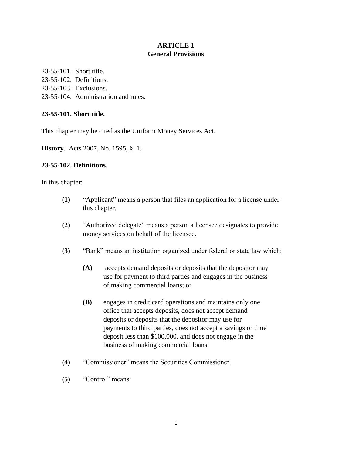# **ARTICLE 1 General Provisions**

23-55-101. Short title. 23-55-102. Definitions. 23-55-103. Exclusions. 23-55-104. Administration and rules.

# **23-55-101. Short title.**

This chapter may be cited as the Uniform Money Services Act.

**History**. Acts 2007, No. 1595, § 1.

# **23-55-102. Definitions.**

In this chapter:

- **(1)** "Applicant" means a person that files an application for a license under this chapter.
- **(2)** "Authorized delegate" means a person a licensee designates to provide money services on behalf of the licensee.
- **(3)** "Bank" means an institution organized under federal or state law which:
	- **(A)** accepts demand deposits or deposits that the depositor may use for payment to third parties and engages in the business of making commercial loans; or
	- **(B)** engages in credit card operations and maintains only one office that accepts deposits, does not accept demand deposits or deposits that the depositor may use for payments to third parties, does not accept a savings or time deposit less than \$100,000, and does not engage in the business of making commercial loans.
- **(4)** "Commissioner" means the Securities Commissioner.
- **(5)** "Control" means: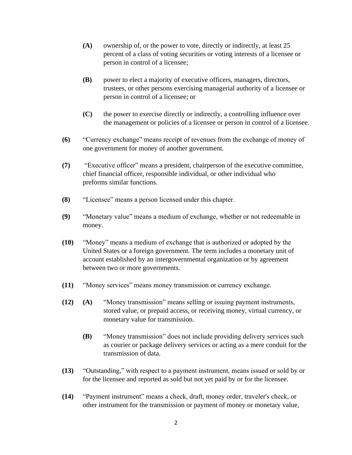- **(A)** ownership of, or the power to vote, directly or indirectly, at least 25 percent of a class of voting securities or voting interests of a licensee or person in control of a licensee;
- **(B)** power to elect a majority of executive officers, managers, directors, trustees, or other persons exercising managerial authority of a licensee or person in control of a licensee; or
- **(C)** the power to exercise directly or indirectly, a controlling influence over the management or policies of a licensee or person in control of a licensee.
- **(6)** "Currency exchange" means receipt of revenues from the exchange of money of one government for money of another government.
- **(7)** "Executive officer" means a president, chairperson of the executive committee, chief financial officer, responsible individual, or other individual who preforms similar functions.
- **(8)** "Licensee" means a person licensed under this chapter.
- **(9)** "Monetary value" means a medium of exchange, whether or not redeemable in money.
- **(10)** "Money" means a medium of exchange that is authorized or adopted by the United States or a foreign government. The term includes a monetary unit of account established by an intergovernmental organization or by agreement between two or more governments.
- **(11)** "Money services" means money transmission or currency exchange.
- **(12) (A)** "Money transmission" means selling or issuing payment instruments, stored value, or prepaid access, or receiving money, virtual currency, or monetary value for transmission.
	- **(B)** "Money transmission" does not include providing delivery services such as courier or package delivery services or acting as a mere conduit for the transmission of data.
- **(13)** "Outstanding," with respect to a payment instrument, means issued or sold by or for the licensee and reported as sold but not yet paid by or for the licensee.
- **(14)** "Payment instrument" means a check, draft, money order, traveler's check, or other instrument for the transmission or payment of money or monetary value,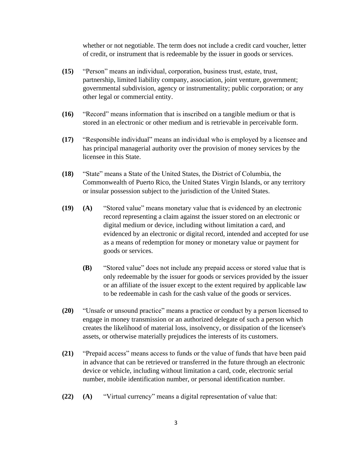whether or not negotiable. The term does not include a credit card voucher, letter of credit, or instrument that is redeemable by the issuer in goods or services.

- **(15)** "Person" means an individual, corporation, business trust, estate, trust, partnership, limited liability company, association, joint venture, government; governmental subdivision, agency or instrumentality; public corporation; or any other legal or commercial entity.
- **(16)** "Record" means information that is inscribed on a tangible medium or that is stored in an electronic or other medium and is retrievable in perceivable form.
- **(17)** "Responsible individual" means an individual who is employed by a licensee and has principal managerial authority over the provision of money services by the licensee in this State.
- **(18)** "State" means a State of the United States, the District of Columbia, the Commonwealth of Puerto Rico, the United States Virgin Islands, or any territory or insular possession subject to the jurisdiction of the United States.
- **(19) (A)** "Stored value" means monetary value that is evidenced by an electronic record representing a claim against the issuer stored on an electronic or digital medium or device, including without limitation a card, and evidenced by an electronic or digital record, intended and accepted for use as a means of redemption for money or monetary value or payment for goods or services.
	- **(B)** "Stored value" does not include any prepaid access or stored value that is only redeemable by the issuer for goods or services provided by the issuer or an affiliate of the issuer except to the extent required by applicable law to be redeemable in cash for the cash value of the goods or services.
- **(20)** "Unsafe or unsound practice" means a practice or conduct by a person licensed to engage in money transmission or an authorized delegate of such a person which creates the likelihood of material loss, insolvency, or dissipation of the licensee's assets, or otherwise materially prejudices the interests of its customers.
- **(21)** "Prepaid access" means access to funds or the value of funds that have been paid in advance that can be retrieved or transferred in the future through an electronic device or vehicle, including without limitation a card, code, electronic serial number, mobile identification number, or personal identification number.
- **(22) (A)** "Virtual currency" means a digital representation of value that: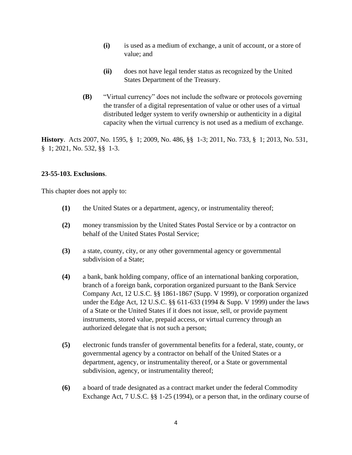- **(i)** is used as a medium of exchange, a unit of account, or a store of value; and
- **(ii)** does not have legal tender status as recognized by the United States Department of the Treasury.
- **(B)** "Virtual currency" does not include the software or protocols governing the transfer of a digital representation of value or other uses of a virtual distributed ledger system to verify ownership or authenticity in a digital capacity when the virtual currency is not used as a medium of exchange.

**History**. Acts 2007, No. 1595, § 1; 2009, No. 486, §§ 1-3; 2011, No. 733, § 1; 2013, No. 531, § 1; 2021, No. 532, §§ 1-3.

# **23-55-103. Exclusions**.

This chapter does not apply to:

- **(1)** the United States or a department, agency, or instrumentality thereof;
- **(2)** money transmission by the United States Postal Service or by a contractor on behalf of the United States Postal Service;
- **(3)** a state, county, city, or any other governmental agency or governmental subdivision of a State;
- **(4)** a bank, bank holding company, office of an international banking corporation, branch of a foreign bank, corporation organized pursuant to the Bank Service Company Act, 12 U.S.C. §§ 1861-1867 (Supp. V 1999), or corporation organized under the Edge Act, 12 U.S.C. §§ 611-633 (1994 & Supp. V 1999) under the laws of a State or the United States if it does not issue, sell, or provide payment instruments, stored value, prepaid access, or virtual currency through an authorized delegate that is not such a person;
- **(5)** electronic funds transfer of governmental benefits for a federal, state, county, or governmental agency by a contractor on behalf of the United States or a department, agency, or instrumentality thereof, or a State or governmental subdivision, agency, or instrumentality thereof;
- **(6)** a board of trade designated as a contract market under the federal Commodity Exchange Act, 7 U.S.C. §§ 1-25 (1994), or a person that, in the ordinary course of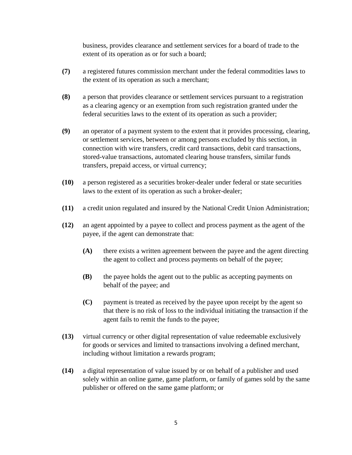business, provides clearance and settlement services for a board of trade to the extent of its operation as or for such a board;

- **(7)** a registered futures commission merchant under the federal commodities laws to the extent of its operation as such a merchant;
- **(8)** a person that provides clearance or settlement services pursuant to a registration as a clearing agency or an exemption from such registration granted under the federal securities laws to the extent of its operation as such a provider;
- **(9)** an operator of a payment system to the extent that it provides processing, clearing, or settlement services, between or among persons excluded by this section, in connection with wire transfers, credit card transactions, debit card transactions, stored-value transactions, automated clearing house transfers, similar funds transfers, prepaid access, or virtual currency;
- **(10)** a person registered as a securities broker-dealer under federal or state securities laws to the extent of its operation as such a broker-dealer;
- **(11)** a credit union regulated and insured by the National Credit Union Administration;
- **(12)** an agent appointed by a payee to collect and process payment as the agent of the payee, if the agent can demonstrate that:
	- **(A)** there exists a written agreement between the payee and the agent directing the agent to collect and process payments on behalf of the payee;
	- **(B)** the payee holds the agent out to the public as accepting payments on behalf of the payee; and
	- **(C)** payment is treated as received by the payee upon receipt by the agent so that there is no risk of loss to the individual initiating the transaction if the agent fails to remit the funds to the payee;
- **(13)** virtual currency or other digital representation of value redeemable exclusively for goods or services and limited to transactions involving a defined merchant, including without limitation a rewards program;
- **(14)** a digital representation of value issued by or on behalf of a publisher and used solely within an online game, game platform, or family of games sold by the same publisher or offered on the same game platform; or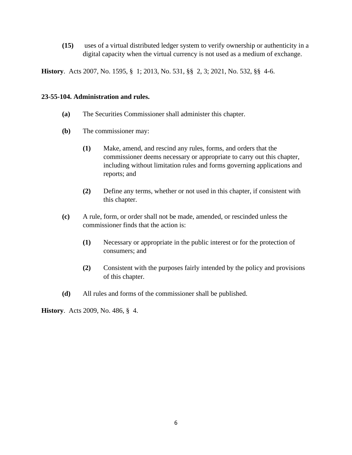**(15)** uses of a virtual distributed ledger system to verify ownership or authenticity in a digital capacity when the virtual currency is not used as a medium of exchange.

**History**. Acts 2007, No. 1595, § 1; 2013, No. 531, §§ 2, 3; 2021, No. 532, §§ 4-6.

#### **23-55-104. Administration and rules.**

- **(a)** The Securities Commissioner shall administer this chapter.
- **(b)** The commissioner may:
	- **(1)** Make, amend, and rescind any rules, forms, and orders that the commissioner deems necessary or appropriate to carry out this chapter, including without limitation rules and forms governing applications and reports; and
	- **(2)** Define any terms, whether or not used in this chapter, if consistent with this chapter.
- **(c)** A rule, form, or order shall not be made, amended, or rescinded unless the commissioner finds that the action is:
	- **(1)** Necessary or appropriate in the public interest or for the protection of consumers; and
	- **(2)** Consistent with the purposes fairly intended by the policy and provisions of this chapter.
- **(d)** All rules and forms of the commissioner shall be published.

**History**. Acts 2009, No. 486, § 4.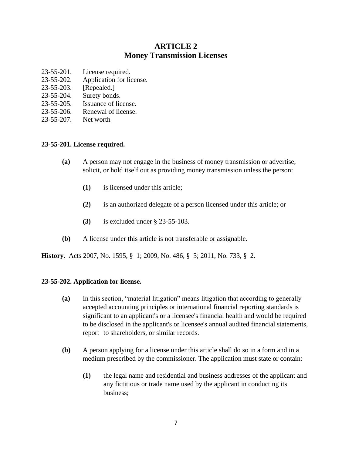# **ARTICLE 2 Money Transmission Licenses**

- 23-55-201. License required.
- [23-55-202. Application for license.](https://advance.lexis.com/documentpage/?pdmfid=1000516&crid=d3f145c2-03db-4bf3-9db4-262d30100fcf&pdistocdocslideraccess=true&config=00JAA2ZjZiM2VhNS0wNTVlLTQ3NzUtYjQzYy0yYWZmODJiODRmMDYKAFBvZENhdGFsb2fXiYCnsel0plIgqpYkw9PK&pddocfullpath=%2Fshared%2Fdocument%2Fstatutes-legislation%2Furn%3AcontentItem%3A4WVJ-FN90-R03J-T4BK-00008-00&pdcomponentid=234171&pdtocnodeidentifier=AAXAACABAAADAAB&ecomp=9s-fkkk&prid=92f10ad3-f13b-4593-9a6a-32ae3e025c36)
- [23-55-203. \[Repealed.\]](https://advance.lexis.com/documentpage/?pdmfid=1000516&crid=d3f145c2-03db-4bf3-9db4-262d30100fcf&pdistocdocslideraccess=true&config=00JAA2ZjZiM2VhNS0wNTVlLTQ3NzUtYjQzYy0yYWZmODJiODRmMDYKAFBvZENhdGFsb2fXiYCnsel0plIgqpYkw9PK&pddocfullpath=%2Fshared%2Fdocument%2Fstatutes-legislation%2Furn%3AcontentItem%3A4WVJ-FN90-R03J-T4BK-00008-00&pdcomponentid=234171&pdtocnodeidentifier=AAXAACABAAADAAB&ecomp=9s-fkkk&prid=92f10ad3-f13b-4593-9a6a-32ae3e025c36)
- [23-55-204. Surety bonds.](https://advance.lexis.com/documentpage/?pdmfid=1000516&crid=d3f145c2-03db-4bf3-9db4-262d30100fcf&pdistocdocslideraccess=true&config=00JAA2ZjZiM2VhNS0wNTVlLTQ3NzUtYjQzYy0yYWZmODJiODRmMDYKAFBvZENhdGFsb2fXiYCnsel0plIgqpYkw9PK&pddocfullpath=%2Fshared%2Fdocument%2Fstatutes-legislation%2Furn%3AcontentItem%3A4WVJ-FN90-R03J-T4BK-00008-00&pdcomponentid=234171&pdtocnodeidentifier=AAXAACABAAADAAB&ecomp=9s-fkkk&prid=92f10ad3-f13b-4593-9a6a-32ae3e025c36)
- [23-55-205. Issuance of license.](https://advance.lexis.com/documentpage/?pdmfid=1000516&crid=d3f145c2-03db-4bf3-9db4-262d30100fcf&pdistocdocslideraccess=true&config=00JAA2ZjZiM2VhNS0wNTVlLTQ3NzUtYjQzYy0yYWZmODJiODRmMDYKAFBvZENhdGFsb2fXiYCnsel0plIgqpYkw9PK&pddocfullpath=%2Fshared%2Fdocument%2Fstatutes-legislation%2Furn%3AcontentItem%3A4WVJ-FN90-R03J-T4BK-00008-00&pdcomponentid=234171&pdtocnodeidentifier=AAXAACABAAADAAB&ecomp=9s-fkkk&prid=92f10ad3-f13b-4593-9a6a-32ae3e025c36)
- [23-55-206. Renewal of license.](https://advance.lexis.com/documentpage/?pdmfid=1000516&crid=d3f145c2-03db-4bf3-9db4-262d30100fcf&pdistocdocslideraccess=true&config=00JAA2ZjZiM2VhNS0wNTVlLTQ3NzUtYjQzYy0yYWZmODJiODRmMDYKAFBvZENhdGFsb2fXiYCnsel0plIgqpYkw9PK&pddocfullpath=%2Fshared%2Fdocument%2Fstatutes-legislation%2Furn%3AcontentItem%3A4WVJ-FN90-R03J-T4BK-00008-00&pdcomponentid=234171&pdtocnodeidentifier=AAXAACABAAADAAB&ecomp=9s-fkkk&prid=92f10ad3-f13b-4593-9a6a-32ae3e025c36)
- [23-55-207. Net worth](https://advance.lexis.com/documentpage/?pdmfid=1000516&crid=d3f145c2-03db-4bf3-9db4-262d30100fcf&pdistocdocslideraccess=true&config=00JAA2ZjZiM2VhNS0wNTVlLTQ3NzUtYjQzYy0yYWZmODJiODRmMDYKAFBvZENhdGFsb2fXiYCnsel0plIgqpYkw9PK&pddocfullpath=%2Fshared%2Fdocument%2Fstatutes-legislation%2Furn%3AcontentItem%3A4WVJ-FN90-R03J-T4BK-00008-00&pdcomponentid=234171&pdtocnodeidentifier=AAXAACABAAADAAB&ecomp=9s-fkkk&prid=92f10ad3-f13b-4593-9a6a-32ae3e025c36)

#### **23-55-201. License required.**

- **(a)** A person may not engage in the business of money transmission or advertise, solicit, or hold itself out as providing money transmission unless the person:
	- **(1)** is licensed under this article;
	- **(2)** is an authorized delegate of a person licensed under this article; or
	- **(3)** is excluded under § 23-55-103.
- **(b)** A license under this article is not transferable or assignable.

**History**. Acts 2007, No. 1595, § 1; 2009, No. 486, § 5; 2011, No. 733, § 2.

## **23-55-202. Application for license.**

- **(a)** In this section, "material litigation" means litigation that according to generally accepted accounting principles or international financial reporting standards is significant to an applicant's or a licensee's financial health and would be required to be disclosed in the applicant's or licensee's annual audited financial statements, report to shareholders, or similar records.
- **(b)** A person applying for a license under this article shall do so in a form and in a medium prescribed by the commissioner. The application must state or contain:
	- **(1)** the legal name and residential and business addresses of the applicant and any fictitious or trade name used by the applicant in conducting its business;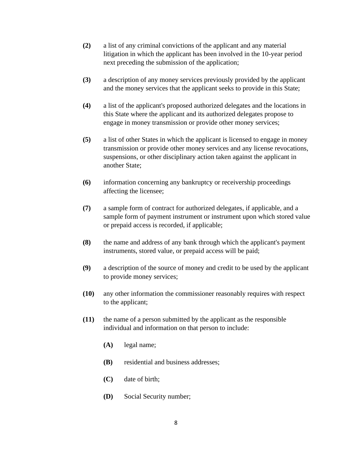- **(2)** a list of any criminal convictions of the applicant and any material litigation in which the applicant has been involved in the 10-year period next preceding the submission of the application;
- **(3)** a description of any money services previously provided by the applicant and the money services that the applicant seeks to provide in this State;
- **(4)** a list of the applicant's proposed authorized delegates and the locations in this State where the applicant and its authorized delegates propose to engage in money transmission or provide other money services;
- **(5)** a list of other States in which the applicant is licensed to engage in money transmission or provide other money services and any license revocations, suspensions, or other disciplinary action taken against the applicant in another State;
- **(6)** information concerning any bankruptcy or receivership proceedings affecting the licensee;
- **(7)** a sample form of contract for authorized delegates, if applicable, and a sample form of payment instrument or instrument upon which stored value or prepaid access is recorded, if applicable;
- **(8)** the name and address of any bank through which the applicant's payment instruments, stored value, or prepaid access will be paid;
- **(9)** a description of the source of money and credit to be used by the applicant to provide money services;
- **(10)** any other information the commissioner reasonably requires with respect to the applicant;
- **(11)** the name of a person submitted by the applicant as the responsible individual and information on that person to include:
	- **(A)** legal name;
	- **(B)** residential and business addresses;
	- **(C)** date of birth;
	- **(D)** Social Security number;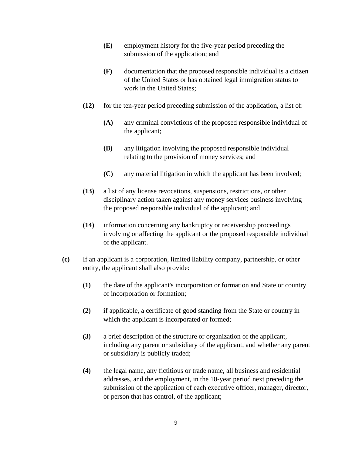- **(E)** employment history for the five-year period preceding the submission of the application; and
- **(F)** documentation that the proposed responsible individual is a citizen of the United States or has obtained legal immigration status to work in the United States;
- **(12)** for the ten-year period preceding submission of the application, a list of:
	- **(A)** any criminal convictions of the proposed responsible individual of the applicant;
	- **(B)** any litigation involving the proposed responsible individual relating to the provision of money services; and
	- **(C)** any material litigation in which the applicant has been involved;
- **(13)** a list of any license revocations, suspensions, restrictions, or other disciplinary action taken against any money services business involving the proposed responsible individual of the applicant; and
- **(14)** information concerning any bankruptcy or receivership proceedings involving or affecting the applicant or the proposed responsible individual of the applicant.
- **(c)** If an applicant is a corporation, limited liability company, partnership, or other entity, the applicant shall also provide:
	- **(1)** the date of the applicant's incorporation or formation and State or country of incorporation or formation;
	- **(2)** if applicable, a certificate of good standing from the State or country in which the applicant is incorporated or formed;
	- **(3)** a brief description of the structure or organization of the applicant, including any parent or subsidiary of the applicant, and whether any parent or subsidiary is publicly traded;
	- **(4)** the legal name, any fictitious or trade name, all business and residential addresses, and the employment, in the 10-year period next preceding the submission of the application of each executive officer, manager, director, or person that has control, of the applicant;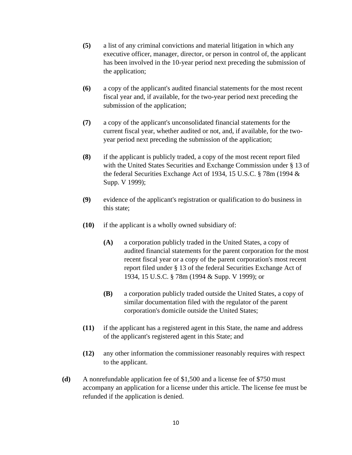- **(5)** a list of any criminal convictions and material litigation in which any executive officer, manager, director, or person in control of, the applicant has been involved in the 10-year period next preceding the submission of the application;
- **(6)** a copy of the applicant's audited financial statements for the most recent fiscal year and, if available, for the two-year period next preceding the submission of the application;
- **(7)** a copy of the applicant's unconsolidated financial statements for the current fiscal year, whether audited or not, and, if available, for the twoyear period next preceding the submission of the application;
- **(8)** if the applicant is publicly traded, a copy of the most recent report filed with the United States Securities and Exchange Commission under § 13 of the federal Securities Exchange Act of 1934, 15 U.S.C. § 78m (1994 & Supp. V 1999);
- **(9)** evidence of the applicant's registration or qualification to do business in this state;
- **(10)** if the applicant is a wholly owned subsidiary of:
	- **(A)** a corporation publicly traded in the United States, a copy of audited financial statements for the parent corporation for the most recent fiscal year or a copy of the parent corporation's most recent report filed under § 13 of the federal Securities Exchange Act of 1934, 15 U.S.C. § 78m (1994 & Supp. V 1999); or
	- **(B)** a corporation publicly traded outside the United States, a copy of similar documentation filed with the regulator of the parent corporation's domicile outside the United States;
- **(11)** if the applicant has a registered agent in this State, the name and address of the applicant's registered agent in this State; and
- **(12)** any other information the commissioner reasonably requires with respect to the applicant.
- **(d)** A nonrefundable application fee of \$1,500 and a license fee of \$750 must accompany an application for a license under this article. The license fee must be refunded if the application is denied.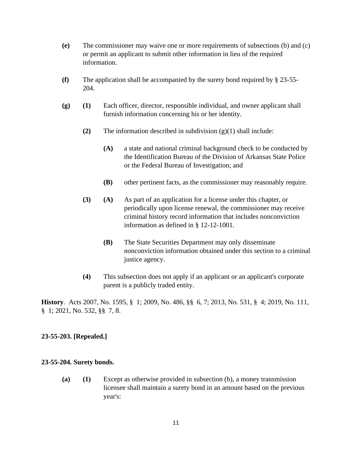- **(e)** The commissioner may waive one or more requirements of subsections (b) and (c) or permit an applicant to submit other information in lieu of the required information.
- **(f)** The application shall be accompanied by the surety bond required by § 23-55- 204.
- **(g) (1)** Each officer, director, responsible individual, and owner applicant shall furnish information concerning his or her identity.
	- **(2)** The information described in subdivision (g)(1) shall include:
		- **(A)** a state and national criminal background check to be conducted by the Identification Bureau of the Division of Arkansas State Police or the Federal Bureau of Investigation; and
		- **(B)** other pertinent facts, as the commissioner may reasonably require.
	- **(3) (A)** As part of an application for a license under this chapter, or periodically upon license renewal, the commissioner may receive criminal history record information that includes nonconviction information as defined in § 12-12-1001.
		- **(B)** The State Securities Department may only disseminate nonconviction information obtained under this section to a criminal justice agency.
	- **(4)** This subsection does not apply if an applicant or an applicant's corporate parent is a publicly traded entity.

**History**. Acts 2007, No. 1595, § 1; 2009, No. 486, §§ 6, 7; 2013, No. 531, § 4; 2019, No. 111, § 1; 2021, No. 532, §§ 7, 8.

## **23-55-203. [Repealed.]**

#### **23-55-204. Surety bonds.**

**(a) (1)** Except as otherwise provided in subsection (b), a money transmission licensee shall maintain a surety bond in an amount based on the previous year's: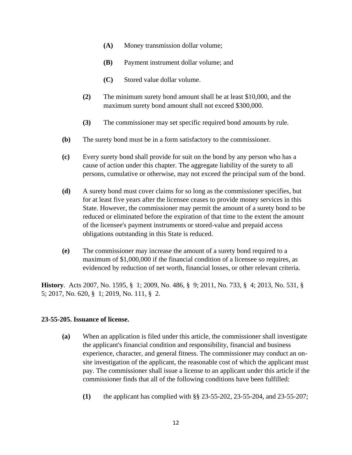- **(A)** Money transmission dollar volume;
- **(B)** Payment instrument dollar volume; and
- **(C)** Stored value dollar volume.
- **(2)** The minimum surety bond amount shall be at least \$10,000, and the maximum surety bond amount shall not exceed \$300,000.
- **(3)** The commissioner may set specific required bond amounts by rule.
- **(b)** The surety bond must be in a form satisfactory to the commissioner.
- **(c)** Every surety bond shall provide for suit on the bond by any person who has a cause of action under this chapter. The aggregate liability of the surety to all persons, cumulative or otherwise, may not exceed the principal sum of the bond.
- **(d)** A surety bond must cover claims for so long as the commissioner specifies, but for at least five years after the licensee ceases to provide money services in this State. However, the commissioner may permit the amount of a surety bond to be reduced or eliminated before the expiration of that time to the extent the amount of the licensee's payment instruments or stored-value and prepaid access obligations outstanding in this State is reduced.
- **(e)** The commissioner may increase the amount of a surety bond required to a maximum of \$1,000,000 if the financial condition of a licensee so requires, as evidenced by reduction of net worth, financial losses, or other relevant criteria.

**History**. Acts 2007, No. 1595, § 1; 2009, No. 486, § 9; 2011, No. 733, § 4; 2013, No. 531, § 5; 2017, No. 620, § 1; 2019, No. 111, § 2.

## **23-55-205. Issuance of license.**

- **(a)** When an application is filed under this article, the commissioner shall investigate the applicant's financial condition and responsibility, financial and business experience, character, and general fitness. The commissioner may conduct an onsite investigation of the applicant, the reasonable cost of which the applicant must pay. The commissioner shall issue a license to an applicant under this article if the commissioner finds that all of the following conditions have been fulfilled:
	- **(1)** the applicant has complied with §§ 23-55-202, 23-55-204, and 23-55-207;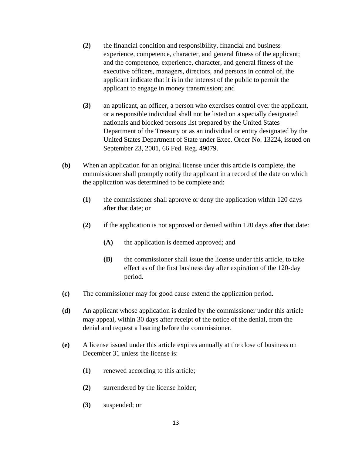- **(2)** the financial condition and responsibility, financial and business experience, competence, character, and general fitness of the applicant; and the competence, experience, character, and general fitness of the executive officers, managers, directors, and persons in control of, the applicant indicate that it is in the interest of the public to permit the applicant to engage in money transmission; and
- **(3)** an applicant, an officer, a person who exercises control over the applicant, or a responsible individual shall not be listed on a specially designated nationals and blocked persons list prepared by the United States Department of the Treasury or as an individual or entity designated by the United States Department of State under Exec. Order No. 13224, issued on September 23, 2001, 66 Fed. Reg. 49079.
- **(b)** When an application for an original license under this article is complete, the commissioner shall promptly notify the applicant in a record of the date on which the application was determined to be complete and:
	- **(1)** the commissioner shall approve or deny the application within 120 days after that date; or
	- **(2)** if the application is not approved or denied within 120 days after that date:
		- **(A)** the application is deemed approved; and
		- **(B)** the commissioner shall issue the license under this article, to take effect as of the first business day after expiration of the 120-day period.
- **(c)** The commissioner may for good cause extend the application period.
- **(d)** An applicant whose application is denied by the commissioner under this article may appeal, within 30 days after receipt of the notice of the denial, from the denial and request a hearing before the commissioner.
- **(e)** A license issued under this article expires annually at the close of business on December 31 unless the license is:
	- **(1)** renewed according to this article;
	- **(2)** surrendered by the license holder;
	- **(3)** suspended; or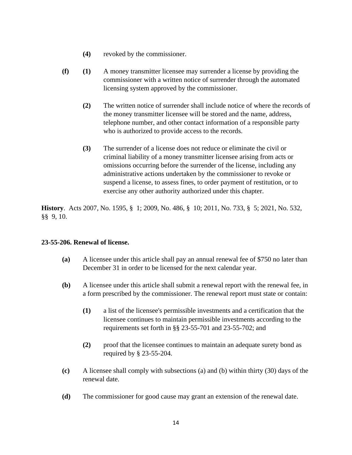- **(4)** revoked by the commissioner.
- **(f) (1)** A money transmitter licensee may surrender a license by providing the commissioner with a written notice of surrender through the automated licensing system approved by the commissioner.
	- **(2)** The written notice of surrender shall include notice of where the records of the money transmitter licensee will be stored and the name, address, telephone number, and other contact information of a responsible party who is authorized to provide access to the records.
	- **(3)** The surrender of a license does not reduce or eliminate the civil or criminal liability of a money transmitter licensee arising from acts or omissions occurring before the surrender of the license, including any administrative actions undertaken by the commissioner to revoke or suspend a license, to assess fines, to order payment of restitution, or to exercise any other authority authorized under this chapter.

**History**. Acts 2007, No. 1595, § 1; 2009, No. 486, § 10; 2011, No. 733, § 5; 2021, No. 532, §§ 9, 10.

## **23-55-206. Renewal of license.**

- **(a)** A licensee under this article shall pay an annual renewal fee of \$750 no later than December 31 in order to be licensed for the next calendar year.
- **(b)** A licensee under this article shall submit a renewal report with the renewal fee, in a form prescribed by the commissioner. The renewal report must state or contain:
	- **(1)** a list of the licensee's permissible investments and a certification that the licensee continues to maintain permissible investments according to the requirements set forth in §§ 23-55-701 and 23-55-702; and
	- **(2)** proof that the licensee continues to maintain an adequate surety bond as required by § 23-55-204.
- **(c)** A licensee shall comply with subsections (a) and (b) within thirty (30) days of the renewal date.
- **(d)** The commissioner for good cause may grant an extension of the renewal date.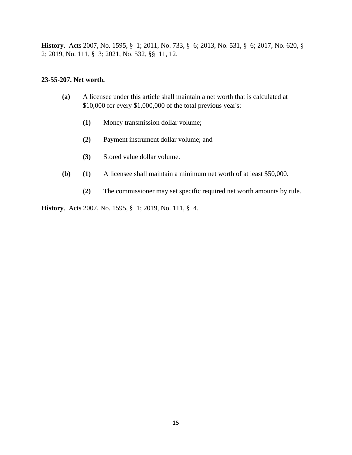**History**. Acts 2007, No. 1595, § 1; 2011, No. 733, § 6; 2013, No. 531, § 6; 2017, No. 620, § 2; 2019, No. 111, § 3; 2021, No. 532, §§ 11, 12.

#### **23-55-207. Net worth.**

- **(a)** A licensee under this article shall maintain a net worth that is calculated at \$10,000 for every \$1,000,000 of the total previous year's:
	- **(1)** Money transmission dollar volume;
	- **(2)** Payment instrument dollar volume; and
	- **(3)** Stored value dollar volume.
- **(b) (1)** A licensee shall maintain a minimum net worth of at least \$50,000.
	- **(2)** The commissioner may set specific required net worth amounts by rule.

**History**. Acts 2007, No. 1595, § 1; 2019, No. 111, § 4.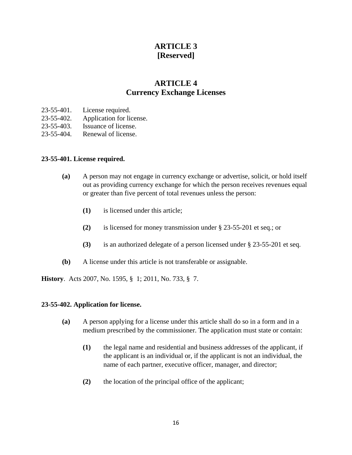# **ARTICLE 3 [Reserved]**

# **ARTICLE 4 Currency Exchange Licenses**

- 23-55-401. License required.
- 23-55-402. Application for license.
- 23-55-403. Issuance of license.
- 23-55-404. Renewal of license.

#### **23-55-401. License required.**

- **(a)** A person may not engage in currency exchange or advertise, solicit, or hold itself out as providing currency exchange for which the person receives revenues equal or greater than five percent of total revenues unless the person:
	- **(1)** is licensed under this article;
	- **(2)** is licensed for money transmission under § 23-55-201 et seq.; or
	- **(3)** is an authorized delegate of a person licensed under § 23-55-201 et seq.
- **(b)** A license under this article is not transferable or assignable.

**History**. Acts 2007, No. 1595, § 1; 2011, No. 733, § 7.

#### **23-55-402. Application for license.**

- **(a)** A person applying for a license under this article shall do so in a form and in a medium prescribed by the commissioner. The application must state or contain:
	- **(1)** the legal name and residential and business addresses of the applicant, if the applicant is an individual or, if the applicant is not an individual, the name of each partner, executive officer, manager, and director;
	- **(2)** the location of the principal office of the applicant;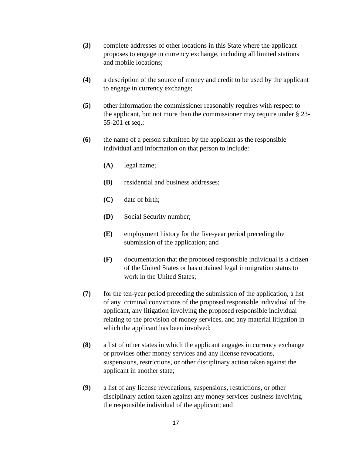- **(3)** complete addresses of other locations in this State where the applicant proposes to engage in currency exchange, including all limited stations and mobile locations;
- **(4)** a description of the source of money and credit to be used by the applicant to engage in currency exchange;
- **(5)** other information the commissioner reasonably requires with respect to the applicant, but not more than the commissioner may require under § 23- 55-201 et seq.;
- **(6)** the name of a person submitted by the applicant as the responsible individual and information on that person to include:
	- **(A)** legal name;
	- **(B)** residential and business addresses;
	- **(C)** date of birth;
	- **(D)** Social Security number;
	- **(E)** employment history for the five-year period preceding the submission of the application; and
	- **(F)** documentation that the proposed responsible individual is a citizen of the United States or has obtained legal immigration status to work in the United States;
- **(7)** for the ten-year period preceding the submission of the application, a list of any criminal convictions of the proposed responsible individual of the applicant, any litigation involving the proposed responsible individual relating to the provision of money services, and any material litigation in which the applicant has been involved;
- **(8)** a list of other states in which the applicant engages in currency exchange or provides other money services and any license revocations, suspensions, restrictions, or other disciplinary action taken against the applicant in another state;
- **(9)** a list of any license revocations, suspensions, restrictions, or other disciplinary action taken against any money services business involving the responsible individual of the applicant; and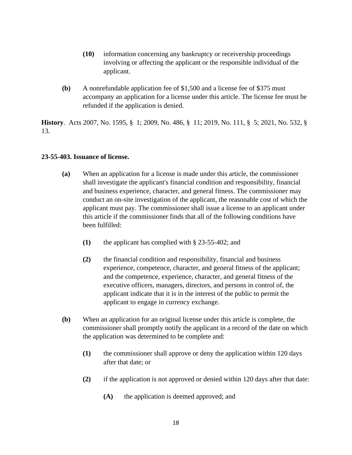- **(10)** information concerning any bankruptcy or receivership proceedings involving or affecting the applicant or the responsible individual of the applicant.
- **(b)** A nonrefundable application fee of \$1,500 and a license fee of \$375 must accompany an application for a license under this article. The license fee must be refunded if the application is denied.

**History**. Acts 2007, No. 1595, § 1; 2009, No. 486, § 11; 2019, No. 111, § 5; 2021, No. 532, § 13.

# **23-55-403. Issuance of license.**

- **(a)** When an application for a license is made under this article, the commissioner shall investigate the applicant's financial condition and responsibility, financial and business experience, character, and general fitness. The commissioner may conduct an on-site investigation of the applicant, the reasonable cost of which the applicant must pay. The commissioner shall issue a license to an applicant under this article if the commissioner finds that all of the following conditions have been fulfilled:
	- **(1)** the applicant has complied with § 23-55-402; and
	- **(2)** the financial condition and responsibility, financial and business experience, competence, character, and general fitness of the applicant; and the competence, experience, character, and general fitness of the executive officers, managers, directors, and persons in control of, the applicant indicate that it is in the interest of the public to permit the applicant to engage in currency exchange.
- **(b)** When an application for an original license under this article is complete, the commissioner shall promptly notify the applicant in a record of the date on which the application was determined to be complete and:
	- **(1)** the commissioner shall approve or deny the application within 120 days after that date; or
	- **(2)** if the application is not approved or denied within 120 days after that date:
		- **(A)** the application is deemed approved; and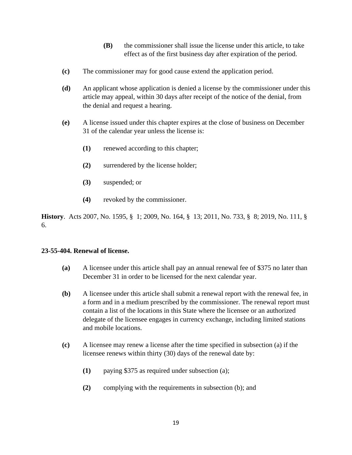- **(B)** the commissioner shall issue the license under this article, to take effect as of the first business day after expiration of the period.
- **(c)** The commissioner may for good cause extend the application period.
- **(d)** An applicant whose application is denied a license by the commissioner under this article may appeal, within 30 days after receipt of the notice of the denial, from the denial and request a hearing.
- **(e)** A license issued under this chapter expires at the close of business on December 31 of the calendar year unless the license is:
	- **(1)** renewed according to this chapter;
	- **(2)** surrendered by the license holder;
	- **(3)** suspended; or
	- **(4)** revoked by the commissioner.

**History**. Acts 2007, No. 1595, § 1; 2009, No. 164, § 13; 2011, No. 733, § 8; 2019, No. 111, § 6.

## **23-55-404. Renewal of license.**

- **(a)** A licensee under this article shall pay an annual renewal fee of \$375 no later than December 31 in order to be licensed for the next calendar year.
- **(b)** A licensee under this article shall submit a renewal report with the renewal fee, in a form and in a medium prescribed by the commissioner. The renewal report must contain a list of the locations in this State where the licensee or an authorized delegate of the licensee engages in currency exchange, including limited stations and mobile locations.
- **(c)** A licensee may renew a license after the time specified in subsection (a) if the licensee renews within thirty (30) days of the renewal date by:
	- **(1)** paying \$375 as required under subsection (a);
	- **(2)** complying with the requirements in subsection (b); and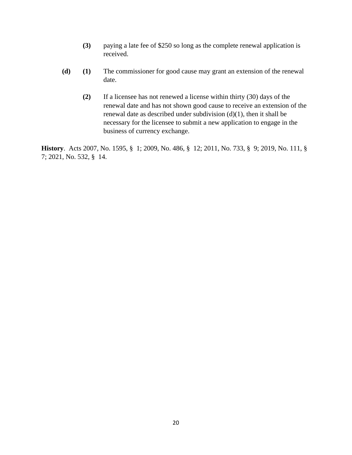- **(3)** paying a late fee of \$250 so long as the complete renewal application is received.
- **(d) (1)** The commissioner for good cause may grant an extension of the renewal date.
	- **(2)** If a licensee has not renewed a license within thirty (30) days of the renewal date and has not shown good cause to receive an extension of the renewal date as described under subdivision (d)(1), then it shall be necessary for the licensee to submit a new application to engage in the business of currency exchange.

**History**. Acts 2007, No. 1595, § 1; 2009, No. 486, § 12; 2011, No. 733, § 9; 2019, No. 111, § 7; 2021, No. 532, § 14.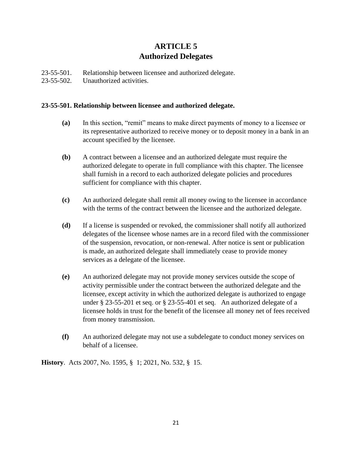# **ARTICLE 5 Authorized Delegates**

23-55-501. Relationship between licensee and authorized delegate.

23-55-502. Unauthorized activities.

# **23-55-501. Relationship between licensee and authorized delegate.**

- **(a)** In this section, "remit" means to make direct payments of money to a licensee or its representative authorized to receive money or to deposit money in a bank in an account specified by the licensee.
- **(b)** A contract between a licensee and an authorized delegate must require the authorized delegate to operate in full compliance with this chapter. The licensee shall furnish in a record to each authorized delegate policies and procedures sufficient for compliance with this chapter.
- **(c)** An authorized delegate shall remit all money owing to the licensee in accordance with the terms of the contract between the licensee and the authorized delegate.
- **(d)** If a license is suspended or revoked, the commissioner shall notify all authorized delegates of the licensee whose names are in a record filed with the commissioner of the suspension, revocation, or non-renewal. After notice is sent or publication is made, an authorized delegate shall immediately cease to provide money services as a delegate of the licensee.
- **(e)** An authorized delegate may not provide money services outside the scope of activity permissible under the contract between the authorized delegate and the licensee, except activity in which the authorized delegate is authorized to engage under § 23-55-201 et seq. or § 23-55-401 et seq. An authorized delegate of a licensee holds in trust for the benefit of the licensee all money net of fees received from money transmission.
- **(f)** An authorized delegate may not use a subdelegate to conduct money services on behalf of a licensee.

**History**. Acts 2007, No. 1595, § 1; 2021, No. 532, § 15.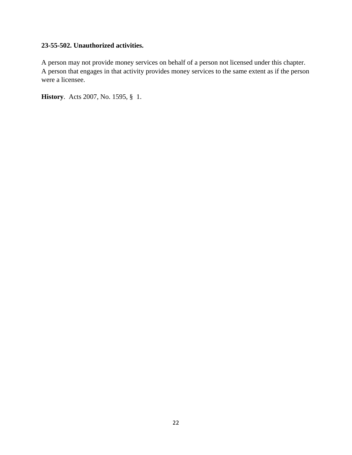# **23-55-502. Unauthorized activities.**

A person may not provide money services on behalf of a person not licensed under this chapter. A person that engages in that activity provides money services to the same extent as if the person were a licensee.

**History**. Acts 2007, No. 1595, § 1.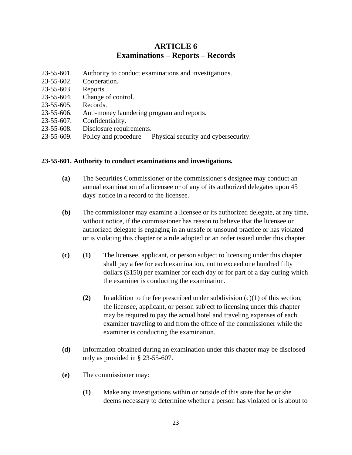# **ARTICLE 6 Examinations – Reports – Records**

- 23-55-601. Authority to conduct examinations and investigations.
- 23-55-602. Cooperation.
- 23-55-603. Reports.
- 23-55-604. Change of control.
- 23-55-605. Records.
- 23-55-606. Anti-money laundering program and reports.
- 23-55-607. Confidentiality.
- 23-55-608. Disclosure requirements.
- 23-55-609. Policy and procedure Physical security and cybersecurity.

#### **23-55-601. Authority to conduct examinations and investigations.**

- **(a)** The Securities Commissioner or the commissioner's designee may conduct an annual examination of a licensee or of any of its authorized delegates upon 45 days' notice in a record to the licensee.
- **(b)** The commissioner may examine a licensee or its authorized delegate, at any time, without notice, if the commissioner has reason to believe that the licensee or authorized delegate is engaging in an unsafe or unsound practice or has violated or is violating this chapter or a rule adopted or an order issued under this chapter.
- **(c) (1)** The licensee, applicant, or person subject to licensing under this chapter shall pay a fee for each examination, not to exceed one hundred fifty dollars (\$150) per examiner for each day or for part of a day during which the examiner is conducting the examination.
	- **(2)** In addition to the fee prescribed under subdivision (c)(1) of this section, the licensee, applicant, or person subject to licensing under this chapter may be required to pay the actual hotel and traveling expenses of each examiner traveling to and from the office of the commissioner while the examiner is conducting the examination.
- **(d)** Information obtained during an examination under this chapter may be disclosed only as provided in § 23-55-607.
- **(e)** The commissioner may:
	- **(1)** Make any investigations within or outside of this state that he or she deems necessary to determine whether a person has violated or is about to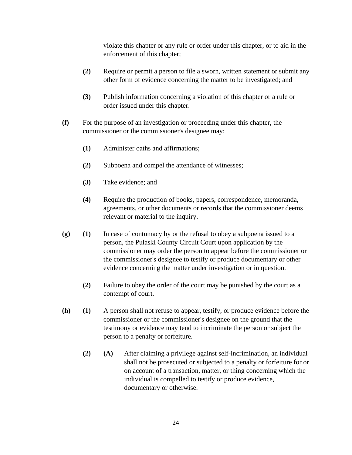violate this chapter or any rule or order under this chapter, or to aid in the enforcement of this chapter;

- **(2)** Require or permit a person to file a sworn, written statement or submit any other form of evidence concerning the matter to be investigated; and
- **(3)** Publish information concerning a violation of this chapter or a rule or order issued under this chapter.
- **(f)** For the purpose of an investigation or proceeding under this chapter, the commissioner or the commissioner's designee may:
	- **(1)** Administer oaths and affirmations;
	- **(2)** Subpoena and compel the attendance of witnesses;
	- **(3)** Take evidence; and
	- **(4)** Require the production of books, papers, correspondence, memoranda, agreements, or other documents or records that the commissioner deems relevant or material to the inquiry.
- **(g) (1)** In case of contumacy by or the refusal to obey a subpoena issued to a person, the Pulaski County Circuit Court upon application by the commissioner may order the person to appear before the commissioner or the commissioner's designee to testify or produce documentary or other evidence concerning the matter under investigation or in question.
	- **(2)** Failure to obey the order of the court may be punished by the court as a contempt of court.
- **(h) (1)** A person shall not refuse to appear, testify, or produce evidence before the commissioner or the commissioner's designee on the ground that the testimony or evidence may tend to incriminate the person or subject the person to a penalty or forfeiture.
	- **(2) (A)** After claiming a privilege against self-incrimination, an individual shall not be prosecuted or subjected to a penalty or forfeiture for or on account of a transaction, matter, or thing concerning which the individual is compelled to testify or produce evidence, documentary or otherwise.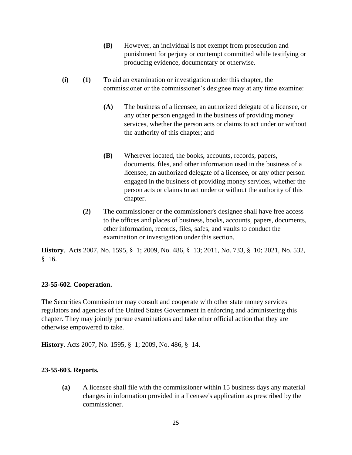- **(B)** However, an individual is not exempt from prosecution and punishment for perjury or contempt committed while testifying or producing evidence, documentary or otherwise.
- **(i) (1)** To aid an examination or investigation under this chapter, the commissioner or the commissioner's designee may at any time examine:
	- **(A)** The business of a licensee, an authorized delegate of a licensee, or any other person engaged in the business of providing money services, whether the person acts or claims to act under or without the authority of this chapter; and
	- **(B)** Wherever located, the books, accounts, records, papers, documents, files, and other information used in the business of a licensee, an authorized delegate of a licensee, or any other person engaged in the business of providing money services, whether the person acts or claims to act under or without the authority of this chapter.
	- **(2)** The commissioner or the commissioner's designee shall have free access to the offices and places of business, books, accounts, papers, documents, other information, records, files, safes, and vaults to conduct the examination or investigation under this section.

**History**. Acts 2007, No. 1595, § 1; 2009, No. 486, § 13; 2011, No. 733, § 10; 2021, No. 532, § 16.

## **23-55-602. Cooperation.**

The Securities Commissioner may consult and cooperate with other state money services regulators and agencies of the United States Government in enforcing and administering this chapter. They may jointly pursue examinations and take other official action that they are otherwise empowered to take.

**History**. Acts 2007, No. 1595, § 1; 2009, No. 486, § 14.

## **23-55-603. Reports.**

**(a)** A licensee shall file with the commissioner within 15 business days any material changes in information provided in a licensee's application as prescribed by the commissioner.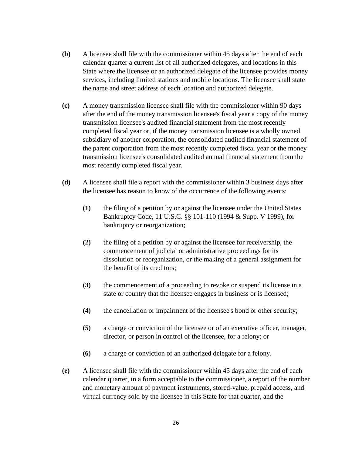- **(b)** A licensee shall file with the commissioner within 45 days after the end of each calendar quarter a current list of all authorized delegates, and locations in this State where the licensee or an authorized delegate of the licensee provides money services, including limited stations and mobile locations. The licensee shall state the name and street address of each location and authorized delegate.
- **(c)** A money transmission licensee shall file with the commissioner within 90 days after the end of the money transmission licensee's fiscal year a copy of the money transmission licensee's audited financial statement from the most recently completed fiscal year or, if the money transmission licensee is a wholly owned subsidiary of another corporation, the consolidated audited financial statement of the parent corporation from the most recently completed fiscal year or the money transmission licensee's consolidated audited annual financial statement from the most recently completed fiscal year.
- **(d)** A licensee shall file a report with the commissioner within 3 business days after the licensee has reason to know of the occurrence of the following events:
	- **(1)** the filing of a petition by or against the licensee under the United States Bankruptcy Code, 11 U.S.C. §§ 101-110 (1994 & Supp. V 1999), for bankruptcy or reorganization;
	- **(2)** the filing of a petition by or against the licensee for receivership, the commencement of judicial or administrative proceedings for its dissolution or reorganization, or the making of a general assignment for the benefit of its creditors;
	- **(3)** the commencement of a proceeding to revoke or suspend its license in a state or country that the licensee engages in business or is licensed;
	- **(4)** the cancellation or impairment of the licensee's bond or other security;
	- **(5)** a charge or conviction of the licensee or of an executive officer, manager, director, or person in control of the licensee, for a felony; or
	- **(6)** a charge or conviction of an authorized delegate for a felony.
- **(e)** A licensee shall file with the commissioner within 45 days after the end of each calendar quarter, in a form acceptable to the commissioner, a report of the number and monetary amount of payment instruments, stored-value, prepaid access, and virtual currency sold by the licensee in this State for that quarter, and the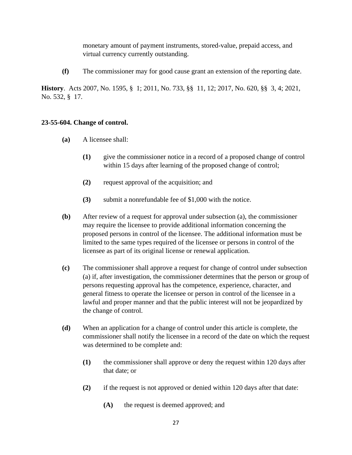monetary amount of payment instruments, stored-value, prepaid access, and virtual currency currently outstanding.

**(f)** The commissioner may for good cause grant an extension of the reporting date.

**History**. Acts 2007, No. 1595, § 1; 2011, No. 733, §§ 11, 12; 2017, No. 620, §§ 3, 4; 2021, No. 532, § 17.

## **23-55-604. Change of control.**

- **(a)** A licensee shall:
	- **(1)** give the commissioner notice in a record of a proposed change of control within 15 days after learning of the proposed change of control;
	- **(2)** request approval of the acquisition; and
	- **(3)** submit a nonrefundable fee of \$1,000 with the notice.
- **(b)** After review of a request for approval under subsection (a), the commissioner may require the licensee to provide additional information concerning the proposed persons in control of the licensee. The additional information must be limited to the same types required of the licensee or persons in control of the licensee as part of its original license or renewal application.
- **(c)** The commissioner shall approve a request for change of control under subsection (a) if, after investigation, the commissioner determines that the person or group of persons requesting approval has the competence, experience, character, and general fitness to operate the licensee or person in control of the licensee in a lawful and proper manner and that the public interest will not be jeopardized by the change of control.
- **(d)** When an application for a change of control under this article is complete, the commissioner shall notify the licensee in a record of the date on which the request was determined to be complete and:
	- **(1)** the commissioner shall approve or deny the request within 120 days after that date; or
	- **(2)** if the request is not approved or denied within 120 days after that date:
		- **(A)** the request is deemed approved; and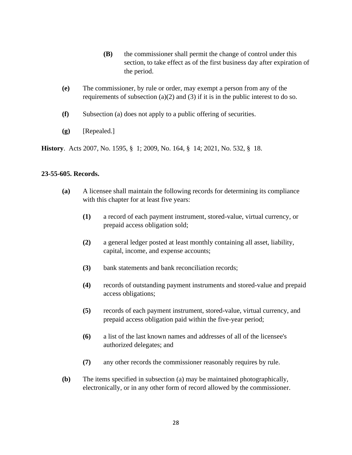- **(B)** the commissioner shall permit the change of control under this section, to take effect as of the first business day after expiration of the period.
- **(e)** The commissioner, by rule or order, may exempt a person from any of the requirements of subsection (a)(2) and (3) if it is in the public interest to do so.
- **(f)** Subsection (a) does not apply to a public offering of securities.
- **(g)** [Repealed.]

**History**. Acts 2007, No. 1595, § 1; 2009, No. 164, § 14; 2021, No. 532, § 18.

# **23-55-605. Records.**

- **(a)** A licensee shall maintain the following records for determining its compliance with this chapter for at least five years:
	- **(1)** a record of each payment instrument, stored-value, virtual currency, or prepaid access obligation sold;
	- **(2)** a general ledger posted at least monthly containing all asset, liability, capital, income, and expense accounts;
	- **(3)** bank statements and bank reconciliation records;
	- **(4)** records of outstanding payment instruments and stored-value and prepaid access obligations;
	- **(5)** records of each payment instrument, stored-value, virtual currency, and prepaid access obligation paid within the five-year period;
	- **(6)** a list of the last known names and addresses of all of the licensee's authorized delegates; and
	- **(7)** any other records the commissioner reasonably requires by rule.
- **(b)** The items specified in subsection (a) may be maintained photographically, electronically, or in any other form of record allowed by the commissioner.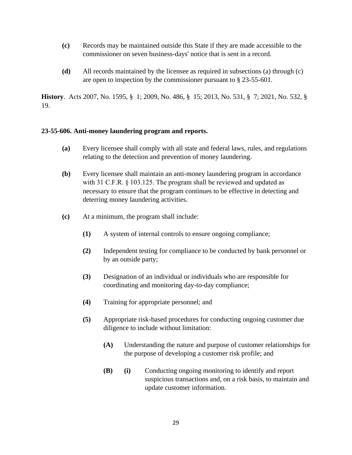- **(c)** Records may be maintained outside this State if they are made accessible to the commissioner on seven business-days' notice that is sent in a record.
- **(d)** All records maintained by the licensee as required in subsections (a) through (c) are open to inspection by the commissioner pursuant to § 23-55-601.

**History**. Acts 2007, No. 1595, § 1; 2009, No. 486, § 15; 2013, No. 531, § 7; 2021, No. 532, § 19.

# **23-55-606. Anti-money laundering program and reports.**

- **(a)** Every licensee shall comply with all state and federal laws, rules, and regulations relating to the detection and prevention of money laundering.
- **(b)** Every licensee shall maintain an anti-money laundering program in accordance with 31 C.F.R. § 103.125. The program shall be reviewed and updated as necessary to ensure that the program continues to be effective in detecting and deterring money laundering activities.
- **(c)** At a minimum, the program shall include:
	- **(1)** A system of internal controls to ensure ongoing compliance;
	- **(2)** Independent testing for compliance to be conducted by bank personnel or by an outside party;
	- **(3)** Designation of an individual or individuals who are responsible for coordinating and monitoring day-to-day compliance;
	- **(4)** Training for appropriate personnel; and
	- **(5)** Appropriate risk-based procedures for conducting ongoing customer due diligence to include without limitation:
		- **(A)** Understanding the nature and purpose of customer relationships for the purpose of developing a customer risk profile; and
		- **(B) (i)** Conducting ongoing monitoring to identify and report suspicious transactions and, on a risk basis, to maintain and update customer information.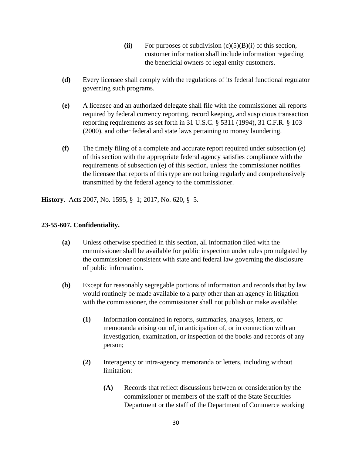- (ii) For purposes of subdivision  $(c)(5)(B)(i)$  of this section, customer information shall include information regarding the beneficial owners of legal entity customers.
- **(d)** Every licensee shall comply with the regulations of its federal functional regulator governing such programs.
- **(e)** A licensee and an authorized delegate shall file with the commissioner all reports required by federal currency reporting, record keeping, and suspicious transaction reporting requirements as set forth in 31 U.S.C. § 5311 (1994), 31 C.F.R. § 103 (2000), and other federal and state laws pertaining to money laundering.
- **(f)** The timely filing of a complete and accurate report required under subsection (e) of this section with the appropriate federal agency satisfies compliance with the requirements of subsection (e) of this section, unless the commissioner notifies the licensee that reports of this type are not being regularly and comprehensively transmitted by the federal agency to the commissioner.

**History**. Acts 2007, No. 1595, § 1; 2017, No. 620, § 5.

# **23-55-607. Confidentiality.**

- **(a)** Unless otherwise specified in this section, all information filed with the commissioner shall be available for public inspection under rules promulgated by the commissioner consistent with state and federal law governing the disclosure of public information.
- **(b)** Except for reasonably segregable portions of information and records that by law would routinely be made available to a party other than an agency in litigation with the commissioner, the commissioner shall not publish or make available:
	- **(1)** Information contained in reports, summaries, analyses, letters, or memoranda arising out of, in anticipation of, or in connection with an investigation, examination, or inspection of the books and records of any person;
	- **(2)** Interagency or intra-agency memoranda or letters, including without limitation:
		- **(A)** Records that reflect discussions between or consideration by the commissioner or members of the staff of the State Securities Department or the staff of the Department of Commerce working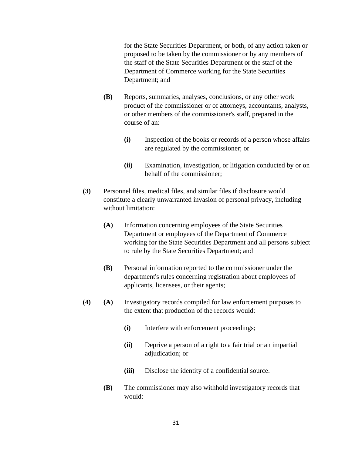for the State Securities Department, or both, of any action taken or proposed to be taken by the commissioner or by any members of the staff of the State Securities Department or the staff of the Department of Commerce working for the State Securities Department; and

- **(B)** Reports, summaries, analyses, conclusions, or any other work product of the commissioner or of attorneys, accountants, analysts, or other members of the commissioner's staff, prepared in the course of an:
	- **(i)** Inspection of the books or records of a person whose affairs are regulated by the commissioner; or
	- **(ii)** Examination, investigation, or litigation conducted by or on behalf of the commissioner;
- **(3)** Personnel files, medical files, and similar files if disclosure would constitute a clearly unwarranted invasion of personal privacy, including without limitation:
	- **(A)** Information concerning employees of the State Securities Department or employees of the Department of Commerce working for the State Securities Department and all persons subject to rule by the State Securities Department; and
	- **(B)** Personal information reported to the commissioner under the department's rules concerning registration about employees of applicants, licensees, or their agents;
- **(4) (A)** Investigatory records compiled for law enforcement purposes to the extent that production of the records would:
	- **(i)** Interfere with enforcement proceedings;
	- **(ii)** Deprive a person of a right to a fair trial or an impartial adjudication; or
	- **(iii)** Disclose the identity of a confidential source.
	- **(B)** The commissioner may also withhold investigatory records that would: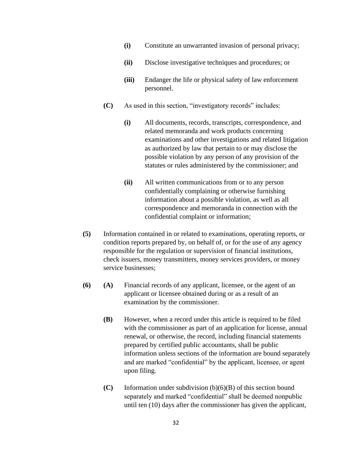- **(i)** Constitute an unwarranted invasion of personal privacy;
- **(ii)** Disclose investigative techniques and procedures; or
- **(iii)** Endanger the life or physical safety of law enforcement personnel.
- **(C)** As used in this section, "investigatory records" includes:
	- **(i)** All documents, records, transcripts, correspondence, and related memoranda and work products concerning examinations and other investigations and related litigation as authorized by law that pertain to or may disclose the possible violation by any person of any provision of the statutes or rules administered by the commissioner; and
	- **(ii)** All written communications from or to any person confidentially complaining or otherwise furnishing information about a possible violation, as well as all correspondence and memoranda in connection with the confidential complaint or information;
- **(5)** Information contained in or related to examinations, operating reports, or condition reports prepared by, on behalf of, or for the use of any agency responsible for the regulation or supervision of financial institutions, check issuers, money transmitters, money services providers, or money service businesses;
- **(6) (A)** Financial records of any applicant, licensee, or the agent of an applicant or licensee obtained during or as a result of an examination by the commissioner.
	- **(B)** However, when a record under this article is required to be filed with the commissioner as part of an application for license, annual renewal, or otherwise, the record, including financial statements prepared by certified public accountants, shall be public information unless sections of the information are bound separately and are marked "confidential" by the applicant, licensee, or agent upon filing.
	- **(C)** Information under subdivision (b)(6)(B) of this section bound separately and marked "confidential" shall be deemed nonpublic until ten (10) days after the commissioner has given the applicant,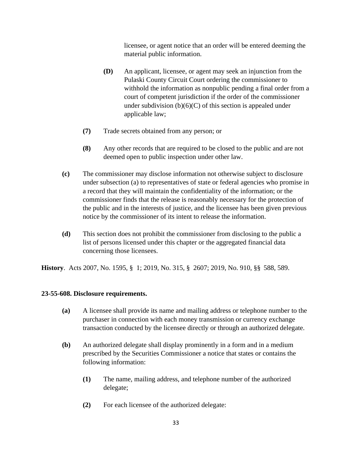licensee, or agent notice that an order will be entered deeming the material public information.

- **(D)** An applicant, licensee, or agent may seek an injunction from the Pulaski County Circuit Court ordering the commissioner to withhold the information as nonpublic pending a final order from a court of competent jurisdiction if the order of the commissioner under subdivision  $(b)(6)(C)$  of this section is appealed under applicable law;
- **(7)** Trade secrets obtained from any person; or
- **(8)** Any other records that are required to be closed to the public and are not deemed open to public inspection under other law.
- **(c)** The commissioner may disclose information not otherwise subject to disclosure under subsection (a) to representatives of state or federal agencies who promise in a record that they will maintain the confidentiality of the information; or the commissioner finds that the release is reasonably necessary for the protection of the public and in the interests of justice, and the licensee has been given previous notice by the commissioner of its intent to release the information.
- **(d)** This section does not prohibit the commissioner from disclosing to the public a list of persons licensed under this chapter or the aggregated financial data concerning those licensees.

**History**. Acts 2007, No. 1595, § 1; 2019, No. 315, § 2607; 2019, No. 910, §§ 588, 589.

## **23-55-608. Disclosure requirements.**

- **(a)** A licensee shall provide its name and mailing address or telephone number to the purchaser in connection with each money transmission or currency exchange transaction conducted by the licensee directly or through an authorized delegate.
- **(b)** An authorized delegate shall display prominently in a form and in a medium prescribed by the Securities Commissioner a notice that states or contains the following information:
	- **(1)** The name, mailing address, and telephone number of the authorized delegate;
	- **(2)** For each licensee of the authorized delegate: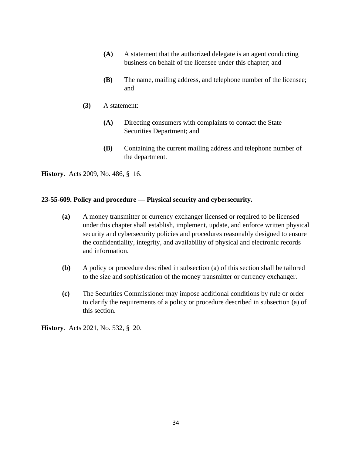- **(A)** A statement that the authorized delegate is an agent conducting business on behalf of the licensee under this chapter; and
- **(B)** The name, mailing address, and telephone number of the licensee; and
- **(3)** A statement:
	- **(A)** Directing consumers with complaints to contact the State Securities Department; and
	- **(B)** Containing the current mailing address and telephone number of the department.

**History**. Acts 2009, No. 486, § 16.

# **23-55-609. Policy and procedure — Physical security and cybersecurity.**

- **(a)** A money transmitter or currency exchanger licensed or required to be licensed under this chapter shall establish, implement, update, and enforce written physical security and cybersecurity policies and procedures reasonably designed to ensure the confidentiality, integrity, and availability of physical and electronic records and information.
- **(b)** A policy or procedure described in subsection (a) of this section shall be tailored to the size and sophistication of the money transmitter or currency exchanger.
- **(c)** The Securities Commissioner may impose additional conditions by rule or order to clarify the requirements of a policy or procedure described in subsection (a) of this section.

**History**. Acts 2021, No. 532, § 20.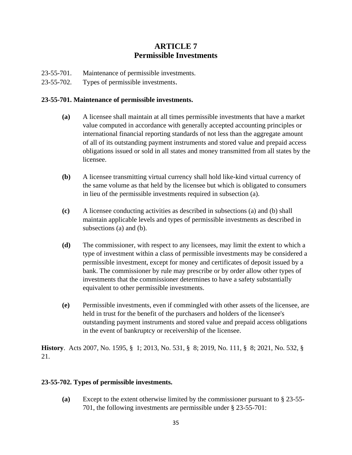# **ARTICLE 7 Permissible Investments**

- 23-55-701. Maintenance of permissible investments.
- 23-55-702. Types of permissible investments.

# **23-55-701. Maintenance of permissible investments.**

- **(a)** A licensee shall maintain at all times permissible investments that have a market value computed in accordance with generally accepted accounting principles or international financial reporting standards of not less than the aggregate amount of all of its outstanding payment instruments and stored value and prepaid access obligations issued or sold in all states and money transmitted from all states by the licensee.
- **(b)** A licensee transmitting virtual currency shall hold like-kind virtual currency of the same volume as that held by the licensee but which is obligated to consumers in lieu of the permissible investments required in subsection (a).
- **(c)** A licensee conducting activities as described in subsections (a) and (b) shall maintain applicable levels and types of permissible investments as described in subsections (a) and (b).
- **(d)** The commissioner, with respect to any licensees, may limit the extent to which a type of investment within a class of permissible investments may be considered a permissible investment, except for money and certificates of deposit issued by a bank. The commissioner by rule may prescribe or by order allow other types of investments that the commissioner determines to have a safety substantially equivalent to other permissible investments.
- **(e)** Permissible investments, even if commingled with other assets of the licensee, are held in trust for the benefit of the purchasers and holders of the licensee's outstanding payment instruments and stored value and prepaid access obligations in the event of bankruptcy or receivership of the licensee.

**History**. Acts 2007, No. 1595, § 1; 2013, No. 531, § 8; 2019, No. 111, § 8; 2021, No. 532, § 21.

# **23-55-702. Types of permissible investments.**

**(a)** Except to the extent otherwise limited by the commissioner pursuant to § 23-55- 701, the following investments are permissible under § 23-55-701: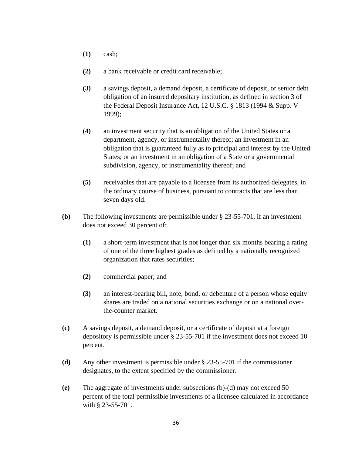- **(1)** cash;
- **(2)** a bank receivable or credit card receivable;
- **(3)** a savings deposit, a demand deposit, a certificate of deposit, or senior debt obligation of an insured depositary institution, as defined in section 3 of the Federal Deposit Insurance Act, 12 U.S.C. § 1813 (1994 & Supp. V 1999);
- **(4)** an investment security that is an obligation of the United States or a department, agency, or instrumentality thereof; an investment in an obligation that is guaranteed fully as to principal and interest by the United States; or an investment in an obligation of a State or a governmental subdivision, agency, or instrumentality thereof; and
- **(5)** receivables that are payable to a licensee from its authorized delegates, in the ordinary course of business, pursuant to contracts that are less than seven days old.
- **(b)** The following investments are permissible under § 23-55-701, if an investment does not exceed 30 percent of:
	- **(1)** a short-term investment that is not longer than six months bearing a rating of one of the three highest grades as defined by a nationally recognized organization that rates securities;
	- **(2)** commercial paper; and
	- **(3)** an interest-bearing bill, note, bond, or debenture of a person whose equity shares are traded on a national securities exchange or on a national overthe-counter market.
- **(c)** A savings deposit, a demand deposit, or a certificate of deposit at a foreign depository is permissible under § 23-55-701 if the investment does not exceed 10 percent.
- **(d)** Any other investment is permissible under § 23-55-701 if the commissioner designates, to the extent specified by the commissioner.
- **(e)** The aggregate of investments under subsections (b)-(d) may not exceed 50 percent of the total permissible investments of a licensee calculated in accordance with § 23-55-701.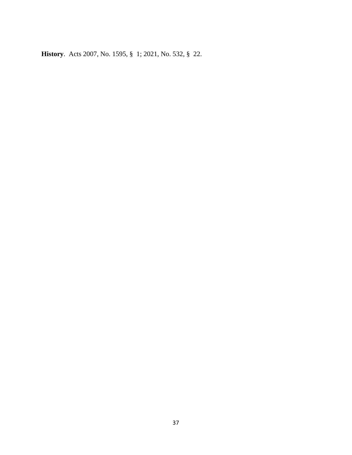**History**. Acts 2007, No. 1595, § 1; 2021, No. 532, § 22.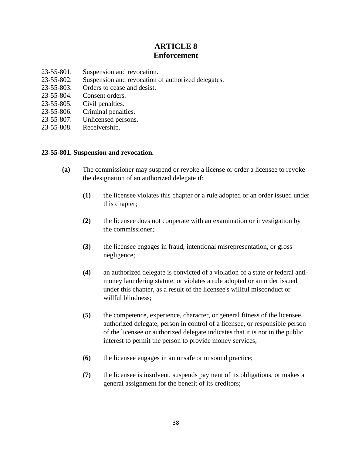# **ARTICLE 8 Enforcement**

- 23-55-801. Suspension and revocation.
- 23-55-802. Suspension and revocation of authorized delegates.
- 23-55-803. Orders to cease and desist.
- 23-55-804. Consent orders.
- 23-55-805. Civil penalties.
- 23-55-806. Criminal penalties.
- 23-55-807. Unlicensed persons.
- 23-55-808. Receivership.

## **23-55-801. Suspension and revocation.**

- **(a)** The commissioner may suspend or revoke a license or order a licensee to revoke the designation of an authorized delegate if:
	- **(1)** the licensee violates this chapter or a rule adopted or an order issued under this chapter;
	- **(2)** the licensee does not cooperate with an examination or investigation by the commissioner;
	- **(3)** the licensee engages in fraud, intentional misrepresentation, or gross negligence;
	- **(4)** an authorized delegate is convicted of a violation of a state or federal antimoney laundering statute, or violates a rule adopted or an order issued under this chapter, as a result of the licensee's willful misconduct or willful blindness;
	- **(5)** the competence, experience, character, or general fitness of the licensee, authorized delegate, person in control of a licensee, or responsible person of the licensee or authorized delegate indicates that it is not in the public interest to permit the person to provide money services;
	- **(6)** the licensee engages in an unsafe or unsound practice;
	- **(7)** the licensee is insolvent, suspends payment of its obligations, or makes a general assignment for the benefit of its creditors;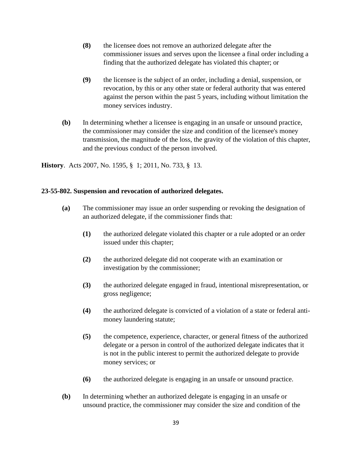- **(8)** the licensee does not remove an authorized delegate after the commissioner issues and serves upon the licensee a final order including a finding that the authorized delegate has violated this chapter; or
- **(9)** the licensee is the subject of an order, including a denial, suspension, or revocation, by this or any other state or federal authority that was entered against the person within the past 5 years, including without limitation the money services industry.
- **(b)** In determining whether a licensee is engaging in an unsafe or unsound practice, the commissioner may consider the size and condition of the licensee's money transmission, the magnitude of the loss, the gravity of the violation of this chapter, and the previous conduct of the person involved.

**History**. Acts 2007, No. 1595, § 1; 2011, No. 733, § 13.

# **23-55-802. Suspension and revocation of authorized delegates.**

- **(a)** The commissioner may issue an order suspending or revoking the designation of an authorized delegate, if the commissioner finds that:
	- **(1)** the authorized delegate violated this chapter or a rule adopted or an order issued under this chapter;
	- **(2)** the authorized delegate did not cooperate with an examination or investigation by the commissioner;
	- **(3)** the authorized delegate engaged in fraud, intentional misrepresentation, or gross negligence;
	- **(4)** the authorized delegate is convicted of a violation of a state or federal antimoney laundering statute;
	- **(5)** the competence, experience, character, or general fitness of the authorized delegate or a person in control of the authorized delegate indicates that it is not in the public interest to permit the authorized delegate to provide money services; or
	- **(6)** the authorized delegate is engaging in an unsafe or unsound practice.
- **(b)** In determining whether an authorized delegate is engaging in an unsafe or unsound practice, the commissioner may consider the size and condition of the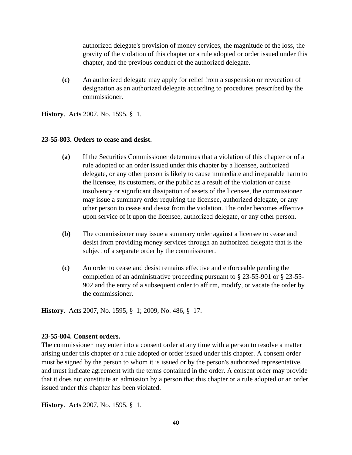authorized delegate's provision of money services, the magnitude of the loss, the gravity of the violation of this chapter or a rule adopted or order issued under this chapter, and the previous conduct of the authorized delegate.

**(c)** An authorized delegate may apply for relief from a suspension or revocation of designation as an authorized delegate according to procedures prescribed by the commissioner.

**History**. Acts 2007, No. 1595, § 1.

#### **23-55-803. Orders to cease and desist.**

- **(a)** If the Securities Commissioner determines that a violation of this chapter or of a rule adopted or an order issued under this chapter by a licensee, authorized delegate, or any other person is likely to cause immediate and irreparable harm to the licensee, its customers, or the public as a result of the violation or cause insolvency or significant dissipation of assets of the licensee, the commissioner may issue a summary order requiring the licensee, authorized delegate, or any other person to cease and desist from the violation. The order becomes effective upon service of it upon the licensee, authorized delegate, or any other person.
- **(b)** The commissioner may issue a summary order against a licensee to cease and desist from providing money services through an authorized delegate that is the subject of a separate order by the commissioner.
- **(c)** An order to cease and desist remains effective and enforceable pending the completion of an administrative proceeding pursuant to § 23-55-901 or § 23-55- 902 and the entry of a subsequent order to affirm, modify, or vacate the order by the commissioner.

**History**. Acts 2007, No. 1595, § 1; 2009, No. 486, § 17.

## **23-55-804. Consent orders.**

The commissioner may enter into a consent order at any time with a person to resolve a matter arising under this chapter or a rule adopted or order issued under this chapter. A consent order must be signed by the person to whom it is issued or by the person's authorized representative, and must indicate agreement with the terms contained in the order. A consent order may provide that it does not constitute an admission by a person that this chapter or a rule adopted or an order issued under this chapter has been violated.

**History**. Acts 2007, No. 1595, § 1.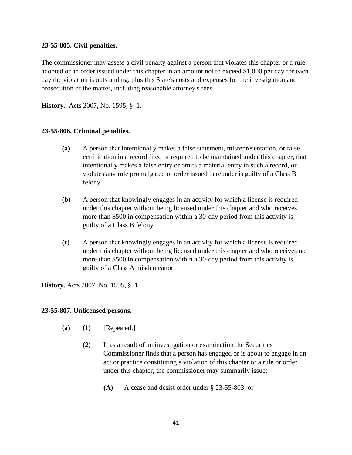## **23-55-805. Civil penalties.**

The commissioner may assess a civil penalty against a person that violates this chapter or a rule adopted or an order issued under this chapter in an amount not to exceed \$1,000 per day for each day the violation is outstanding, plus this State's costs and expenses for the investigation and prosecution of the matter, including reasonable attorney's fees.

**History**. Acts 2007, No. 1595, § 1.

# **23-55-806. Criminal penalties.**

- **(a)** A person that intentionally makes a false statement, misrepresentation, or false certification in a record filed or required to be maintained under this chapter, that intentionally makes a false entry or omits a material entry in such a record, or violates any rule promulgated or order issued hereunder is guilty of a Class B felony.
- **(b)** A person that knowingly engages in an activity for which a license is required under this chapter without being licensed under this chapter and who receives more than \$500 in compensation within a 30-day period from this activity is guilty of a Class B felony.
- **(c)** A person that knowingly engages in an activity for which a license is required under this chapter without being licensed under this chapter and who receives no more than \$500 in compensation within a 30-day period from this activity is guilty of a Class A misdemeanor.

**History**. Acts 2007, No. 1595, § 1.

## **23-55-807. Unlicensed persons.**

- **(a) (1)** [Repealed.]
	- **(2)** If as a result of an investigation or examination the Securities Commissioner finds that a person has engaged or is about to engage in an act or practice constituting a violation of this chapter or a rule or order under this chapter, the commissioner may summarily issue:
		- **(A)** A cease and desist order under § 23-55-803; or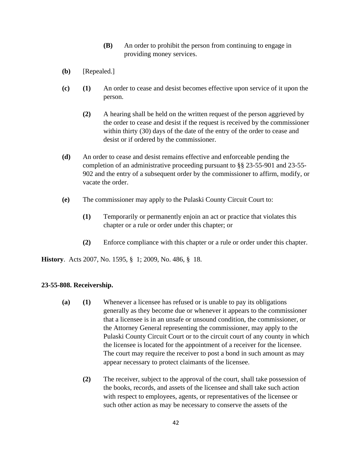- **(B)** An order to prohibit the person from continuing to engage in providing money services.
- **(b)** [Repealed.]
- **(c) (1)** An order to cease and desist becomes effective upon service of it upon the person.
	- **(2)** A hearing shall be held on the written request of the person aggrieved by the order to cease and desist if the request is received by the commissioner within thirty (30) days of the date of the entry of the order to cease and desist or if ordered by the commissioner.
- **(d)** An order to cease and desist remains effective and enforceable pending the completion of an administrative proceeding pursuant to §§ 23-55-901 and 23-55- 902 and the entry of a subsequent order by the commissioner to affirm, modify, or vacate the order.
- **(e)** The commissioner may apply to the Pulaski County Circuit Court to:
	- **(1)** Temporarily or permanently enjoin an act or practice that violates this chapter or a rule or order under this chapter; or
	- **(2)** Enforce compliance with this chapter or a rule or order under this chapter.

**History**. Acts 2007, No. 1595, § 1; 2009, No. 486, § 18.

## **23-55-808. Receivership.**

- **(a) (1)** Whenever a licensee has refused or is unable to pay its obligations generally as they become due or whenever it appears to the commissioner that a licensee is in an unsafe or unsound condition, the commissioner, or the Attorney General representing the commissioner, may apply to the Pulaski County Circuit Court or to the circuit court of any county in which the licensee is located for the appointment of a receiver for the licensee. The court may require the receiver to post a bond in such amount as may appear necessary to protect claimants of the licensee.
	- **(2)** The receiver, subject to the approval of the court, shall take possession of the books, records, and assets of the licensee and shall take such action with respect to employees, agents, or representatives of the licensee or such other action as may be necessary to conserve the assets of the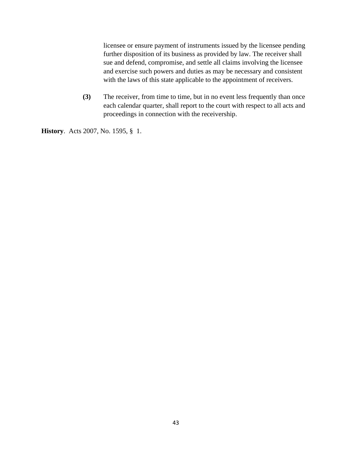licensee or ensure payment of instruments issued by the licensee pending further disposition of its business as provided by law. The receiver shall sue and defend, compromise, and settle all claims involving the licensee and exercise such powers and duties as may be necessary and consistent with the laws of this state applicable to the appointment of receivers.

**(3)** The receiver, from time to time, but in no event less frequently than once each calendar quarter, shall report to the court with respect to all acts and proceedings in connection with the receivership.

**History**. Acts 2007, No. 1595, § 1.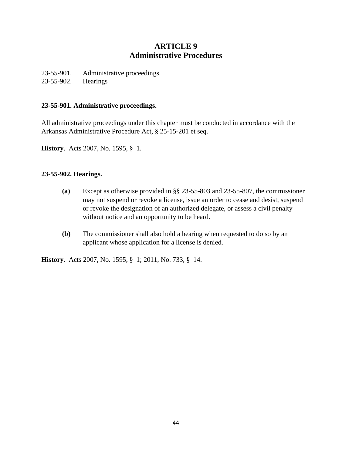# **ARTICLE 9 Administrative Procedures**

23-55-901. Administrative proceedings. 23-55-902. Hearings

#### **23-55-901. Administrative proceedings.**

All administrative proceedings under this chapter must be conducted in accordance with the Arkansas Administrative Procedure Act, § 25-15-201 et seq.

**History**. Acts 2007, No. 1595, § 1.

# **23-55-902. Hearings.**

- **(a)** Except as otherwise provided in §§ 23-55-803 and 23-55-807, the commissioner may not suspend or revoke a license, issue an order to cease and desist, suspend or revoke the designation of an authorized delegate, or assess a civil penalty without notice and an opportunity to be heard.
- **(b)** The commissioner shall also hold a hearing when requested to do so by an applicant whose application for a license is denied.

**History**. Acts 2007, No. 1595, § 1; 2011, No. 733, § 14.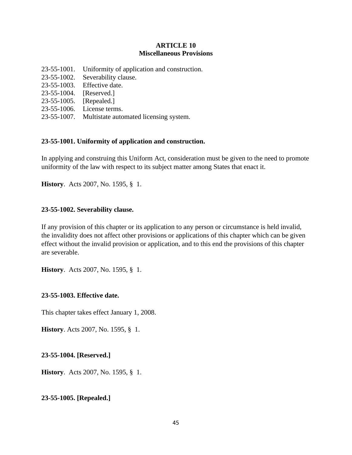# **ARTICLE 10 Miscellaneous Provisions**

- 23-55-1001. Uniformity of application and construction.
- 23-55-1002. Severability clause.
- 23-55-1003. Effective date.
- 23-55-1004. [Reserved.]
- 23-55-1005. [Repealed.]
- 23-55-1006. License terms.
- 23-55-1007. Multistate automated licensing system.

# **23-55-1001. Uniformity of application and construction.**

In applying and construing this Uniform Act, consideration must be given to the need to promote uniformity of the law with respect to its subject matter among States that enact it.

**History**. Acts 2007, No. 1595, § 1.

## **23-55-1002. Severability clause.**

If any provision of this chapter or its application to any person or circumstance is held invalid, the invalidity does not affect other provisions or applications of this chapter which can be given effect without the invalid provision or application, and to this end the provisions of this chapter are severable.

**History**. Acts 2007, No. 1595, § 1.

## **23-55-1003. Effective date.**

This chapter takes effect January 1, 2008.

**History**. Acts 2007, No. 1595, § 1.

**23-55-1004. [Reserved.]**

**History**. Acts 2007, No. 1595, § 1.

# **23-55-1005. [Repealed.]**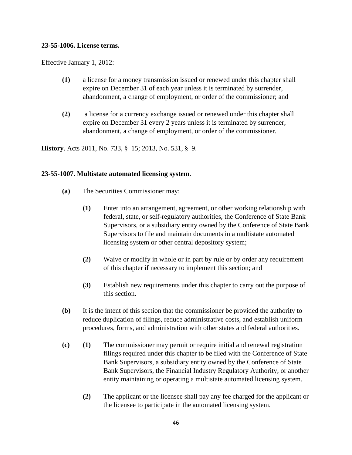#### **23-55-1006. License terms.**

Effective January 1, 2012:

- **(1)** a license for a money transmission issued or renewed under this chapter shall expire on December 31 of each year unless it is terminated by surrender, abandonment, a change of employment, or order of the commissioner; and
- **(2)** a license for a currency exchange issued or renewed under this chapter shall expire on December 31 every 2 years unless it is terminated by surrender, abandonment, a change of employment, or order of the commissioner.

**History**. Acts 2011, No. 733, § 15; 2013, No. 531, § 9.

## **23-55-1007. Multistate automated licensing system.**

- **(a)** The Securities Commissioner may:
	- **(1)** Enter into an arrangement, agreement, or other working relationship with federal, state, or self-regulatory authorities, the Conference of State Bank Supervisors, or a subsidiary entity owned by the Conference of State Bank Supervisors to file and maintain documents in a multistate automated licensing system or other central depository system;
	- **(2)** Waive or modify in whole or in part by rule or by order any requirement of this chapter if necessary to implement this section; and
	- **(3)** Establish new requirements under this chapter to carry out the purpose of this section.
- **(b)** It is the intent of this section that the commissioner be provided the authority to reduce duplication of filings, reduce administrative costs, and establish uniform procedures, forms, and administration with other states and federal authorities.
- **(c) (1)** The commissioner may permit or require initial and renewal registration filings required under this chapter to be filed with the Conference of State Bank Supervisors, a subsidiary entity owned by the Conference of State Bank Supervisors, the Financial Industry Regulatory Authority, or another entity maintaining or operating a multistate automated licensing system.
	- **(2)** The applicant or the licensee shall pay any fee charged for the applicant or the licensee to participate in the automated licensing system.